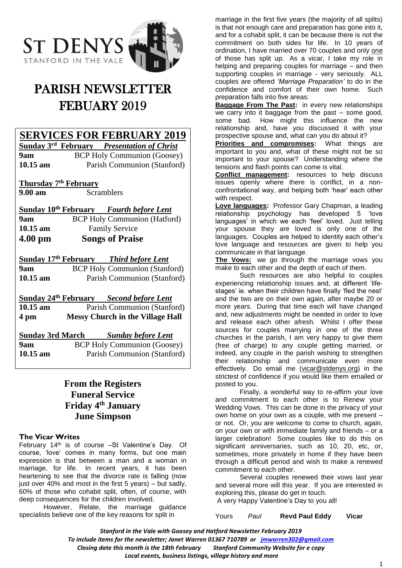

# PARISH NEWSLETTER FEBUARY 2019

**SERVICES FOR FEBRUARY 2019**

**Sunday 3 rd February** *Presentation of Christ* **9am** BCP Holy Communion (Goosey) **10.15 am** Parish Communion (Stanford)

**Thursday 7 th February 9.00 am** Scramblers

**Sunday 10 th February** *Fourth before Lent* **9am BCP Holy Communion (Hatford) 10.15 am** Family Service **4.00 pm Songs of Praise**

**Sunday 17 Third before Lent 9am** BCP Holy Communion (Stanford) **10.15 am** Parish Communion (Stanford)

**Sunday 24 th February** *Second before Lent*

**10.15 am • Parish Communion (Stanford) 4 pm Messy Church in the Village Hall**

**Sunday 3rd March** *Sunday before Lent* **9am** BCP Holy Communion (Goosey) **10.15 am** Parish Communion (Stanford)

# **From the Registers Funeral Service Friday 4th January June Simpson**

#### **The Vicar Writes**

February 14th is of course –St Valentine's Day. Of course, 'love' comes in many forms, but one main expression is that between a man and a woman in marriage, for life. In recent years, it has been heartening to see that the divorce rate is falling (now just over  $40\%$  and most in the first 5 years) – but sadly, 60% of those who cohabit split, often, of course, with deep consequences for the children involved.

However, Relate, the marriage guidance specialists believe one of the key reasons for split in

marriage in the first five years (the majority of all splits) is that not enough care and preparation has gone into it, and for a cohabit split, it can be because there is not the commitment on both sides for life. In 10 years of ordination, I have married over 70 couples and only one of those has split up. As a vicar, I take my role in helping and preparing couples for marriage – and then supporting couples in marriage - very seriously. ALL couples are offered *'Marriage Preparation'* to do in the confidence and comfort of their own home. Such preparation falls into five areas:

**Baggage From The Past:** in every new relationships we carry into it baggage from the past – some good, some bad. How might this influence the new relationship and, have you discussed it with your prospective spouse and, what can you do about it?

**Priorities and compromises:** What things are important to you and, what of these might not be so important to your spouse? Understanding where the tensions and flash points can come is vital.

**Conflict management:** resources to help discuss issues openly where there is conflict, in a nonconfrontational way, and helping both 'hear' each other with respect.

**Love languages:** Professor Gary Chapman, a leading relationship psychology has developed 5 'love languages' in which we each 'feel' loved. Just telling your spouse they are loved is only one of the languages. Couples are helped to identity each other's love language and resources are given to help you communicate in that language.

**The Vows:** we go through the marriage vows you make to each other and the depth of each of them.

Such resources are also helpful to couples experiencing relationship issues and, at different 'lifestages' ie. when their children have finally 'fled the nest' and the two are on their own again, after maybe 20 or more years. During that time each will have changed and, new adjustments might be needed in order to love and release each other afresh. Whilst I offer these sources for couples marrying in one of the three churches in the parish, I am very happy to give them (free of charge) to any couple getting married, or indeed, any couple in the parish wishing to strengthen their relationship and communicate even more effectively. Do email me [\(vicar@stdenys.org\)](mailto:vicar@stdenys.org) in the strictest of confidence if you would like them emailed or posted to you.

Finally, a wonderful way to re-affirm your love and commitment to each other is to Renew your Wedding Vows. This can be done in the privacy of your own home on your own as a couple, with me present – or not. Or, you are welcome to come to church, again, on your own or with immediate family and friends – or a larger celebration! Some couples like to do this on significant anniversaries, such as 10, 20, etc, or, sometimes, more privately in home if they have been through a difficult period and wish to make a renewed commitment to each other.

Several couples renewed their vows last year and several more will this year. If you are interested in exploring this, please do get in touch. A very Happy Valentine's Day to you all!

Yours *Paul* **Revd Paul Eddy Vicar**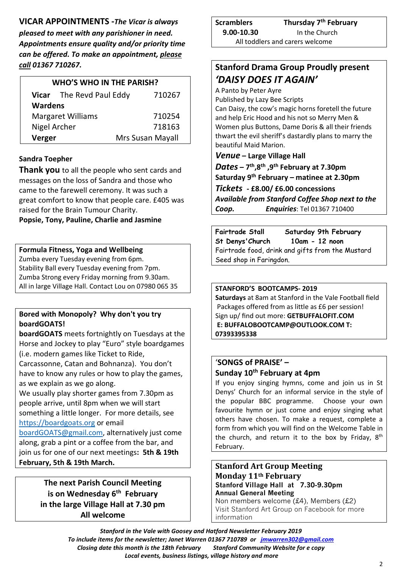**VICAR APPOINTMENTS -***The Vicar is always pleased to meet with any parishioner in need. Appointments ensure quality and/or priority time can be offered. To make an appointment, please call 01367 710267.*

| <b>WHO'S WHO IN THE PARISH?</b> |                                 |                  |  |
|---------------------------------|---------------------------------|------------------|--|
|                                 | <b>Vicar</b> The Revd Paul Eddy | 710267           |  |
| <b>Wardens</b>                  |                                 |                  |  |
| <b>Margaret Williams</b>        |                                 | 710254           |  |
| Nigel Archer                    |                                 | 718163           |  |
| Verger                          |                                 | Mrs Susan Mayall |  |

# **Sandra Toepher**

**Thank you** to all the people who sent cards and messages on the loss of Sandra and those who came to the farewell ceremony. It was such a great comfort to know that people care. £405 was raised for the Brain Tumour Charity.

#### **Popsie, Tony, Pauline, Charlie and Jasmine**

## **Formula Fitness, Yoga and Wellbeing**

Zumba every Tuesday evening from 6pm. Stability Ball every Tuesday evening from 7pm. Zumba Strong every Friday morning from 9.30am. All in large Village Hall. Contact Lou on 07980 065 35

# **Bored with Monopoly? Why don't you try boardGOATS!**

**boardGOATS** meets fortnightly on Tuesdays at the Horse and Jockey to play "Euro" style boardgames (i.e. modern games like Ticket to Ride,

Carcassonne, Catan and Bohnanza). You don't have to know any rules or how to play the games, as we explain as we go along.

We usually play shorter games from 7.30pm as people arrive, until 8pm when we will start something a little longer. For more details, see [https://boardgoats.org](https://boardgoats.org/) or email

[boardGOATS@gmail.com,](mailto:boardGOATS@gmail.com) alternatively just come along, grab a pint or a coffee from the bar, and join us for one of our next meetings**: 5th & 19th February, 5th & 19th March.**

> **The next Parish Council Meeting is on Wednesday 6 th February in the large Village Hall at 7.30 pm All welcome**

**Scramblers Thursday 7 th February 9.00-10.30** In the Church All toddlers and carers welcome

# **Stanford Drama Group Proudly present** *'DAISY DOES IT AGAIN'*

A Panto by Peter Ayre

Published by Lazy Bee Scripts

Can Daisy, the cow's magic horns foretell the future and help Eric Hood and his not so Merry Men & Women plus Buttons, Dame Doris & all their friends thwart the evil sheriff's dastardly plans to marry the beautiful Maid Marion.

## *Venue* **– Large Village Hall**

*Dates* **– 7 th ,8th ,9th February at 7.30pm Saturday 9th February – matinee at 2.30pm** *Tickets* **- £8.00/ £6.00 concessions** *Available from Stanford Coffee Shop next to the Coop. Enquiries*: Tel 01367 710400

**Fairtrade Stall Saturday 9th February St Denys'Church 10am - 12 noon**  Fairtrade food, drink and gifts from the Mustard Seed shop in Faringdon.

#### **STANFORD'S BOOTCAMPS- 2019**

**Saturdays** at 8am at Stanford in the Vale Football field Packages offered from as little as £6 per session! Sign up/ find out more: **GETBUFFALOFIT.COM E: BUFFALOBOOTCAMP@OUTLOOK.COM T: 07393395338**

## '**SONGS of PRAISE' – Sunday 10th February at 4pm**

If you enjoy singing hymns, come and join us in St Denys' Church for an informal service in the style of the popular BBC programme. Choose your own favourite hymn or just come and enjoy singing what others have chosen. To make a request, complete a form from which you will find on the Welcome Table in the church, and return it to the box by Friday,  $8<sup>th</sup>$ February.

# **Stanford Art Group Meeting Monday 11th February Stanford Village Hall at 7.30-9.30pm Annual General Meeting**

Non members welcome (£4), Members (£2) Visit Stanford Art Group on Facebook for more information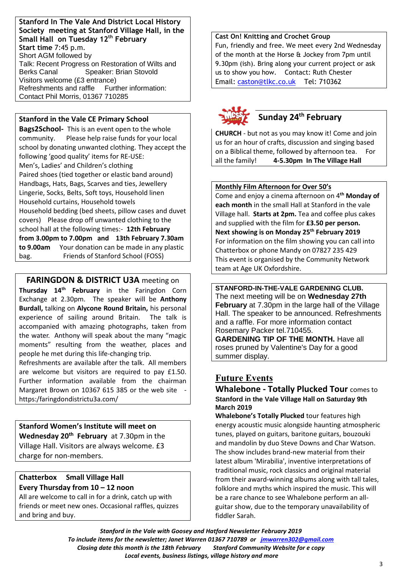**Stanford In The Vale And District Local History Society meeting at Stanford Village Hall, in the Small Hall on Tuesday 12th February Start time** 7:45 p.m. Short AGM followed by Talk: Recent Progress on Restoration of Wilts and Berks Canal Speaker: Brian Stovold Visitors welcome (£3 entrance) Refreshments and raffle Further information: Contact Phil Morris, 01367 710285

#### **Stanford in the Vale CE Primary School**

**Bags2School-** This is an event open to the whole community. Please help raise funds for your local school by donating unwanted clothing. They accept the following 'good quality' items for RE-USE: Men's, Ladies' and Children's clothing Paired shoes (tied together or elastic band around) Handbags, Hats, Bags, Scarves and ties, Jewellery Lingerie, Socks, Belts, Soft toys, Household linen Household curtains, Household towels Household bedding (bed sheets, pillow cases and duvet covers) Please drop off unwanted clothing to the school hall at the following times:- **12th February from 3.00pm to 7.00pm and 13th February 7.30am to 9.00am** Your donation can be made in any plastic bag. Friends of Stanford School (FOSS)

#### **FARINGDON & DISTRICT U3A meeting on**

**Thursday 14th February** in the Faringdon Corn Exchange at 2.30pm. The speaker will be **Anthony Burdall,** talking on **Alycone Round Britain,** his personal experience of sailing around Britain. The talk is accompanied with amazing photographs, taken from the water. Anthony will speak about the many "magic moments" resulting from the weather, places and people he met during this life-changing trip.

Refreshments are available after the talk. All members are welcome but visitors are required to pay £1.50. Further information available from the chairman Margaret Brown on 10367 615 385 or the web site https:/faringdondistrictu3a.com/

**Stanford Women's Institute will meet on Wednesday 20th February** at 7.30pm in the Village Hall. Visitors are always welcome. £3 charge for non-members.

# **Chatterbox Small Village Hall Every Thursday from 10 – 12 noon**

All are welcome to call in for a drink, catch up with friends or meet new ones. Occasional raffles, quizzes and bring and buy.

**Cast On! Knitting and Crochet Group** Fun, friendly and free. We meet every 2nd Wednesday of the month at the Horse & Jockey from 7pm until 9.30pm (ish). Bring along your current project or ask us to show you how. Contact: Ruth Chester Email: [caston@tlkc.co.uk](mailto:caston@tlkc.co.uk) Tel: 710362



**CHURCH** - but not as you may know it! Come and join us for an hour of crafts, discussion and singing based on a Biblical theme, followed by afternoon tea. For all the family! **4-5.30pm In The Village Hall**

#### **Monthly Film Afternoon for Over 50's**

Come and enjoy a cinema afternoon on 4**th Monday of each month** in the small Hall at Stanford in the vale Village hall. **Starts at 2pm.** Tea and coffee plus cakes and supplied with the film for **£3.50 per person. Next showing is on Monday 25 th February 2019** For information on the film showing you can call into Chatterbox or phone Mandy on 07827 235 429 This event is organised by the Community Network team at Age UK Oxfordshire.

**STANFORD-IN-THE-VALE GARDENING CLUB.** The next meeting will be on **Wednesday 27th February** at 7.30pm in the large hall of the Village Hall. The speaker to be announced. Refreshments and a raffle. For more information contact Rosemary Packer tel.710455. **GARDENING TIP OF THE MONTH.** Have all roses pruned by Valentine's Day for a good summer display.

# **Future Events**

**Whalebone - Totally Plucked Tour** comes to **Stanford in the Vale Village Hall on Saturday 9th March 2019**

**Whalebone's Totally Plucked** tour features high energy acoustic music alongside haunting atmospheric tunes, played on guitars, baritone guitars, bouzouki and mandolin by duo Steve Downs and Char Watson. The show includes brand-new material from their latest album 'Mirabilia', inventive interpretations of traditional music, rock classics and original material from their award-winning albums along with tall tales, folklore and myths which inspired the music. This will be a rare chance to see Whalebone perform an allguitar show, due to the temporary unavailability of fiddler Sarah.